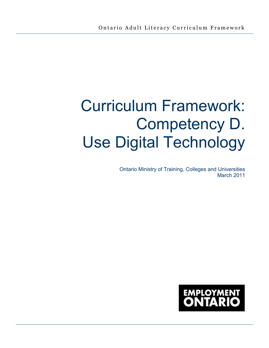# Curriculum Framework: Competency D. Use Digital Technology

Ontario Ministry of Training, Colleges and Universities March 2011

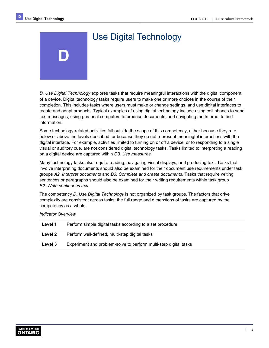**D** 

## Use Digital Technology

*D. Use Digital Technology* explores tasks that require meaningful interactions with the digital component of a device. Digital technology tasks require users to make one or more choices in the course of their completion. This includes tasks where users must make or change settings, and use digital interfaces to create and adapt products. Typical examples of using digital technology include using cell phones to send text messages, using personal computers to produce documents, and navigating the Internet to find information.

Some technology-related activities fall outside the scope of this competency, either because they rate below or above the levels described, or because they do not represent meaningful interactions with the digital interface. For example, activities limited to turning on or off a device, or to responding to a single visual or auditory cue, are not considered digital technology tasks. Tasks limited to interpreting a reading on a digital device are captured within *C3. Use measures.* 

 involve interpreting documents should also be examined for their document use requirements under task  groups *A2. Interpret documents* and *B3. Complete and create documents*. Tasks that require writing sentences or paragraphs should also be examined for their writing requirements within task group  *B2. Write continuous text*. Many technology tasks also require reading, navigating visual displays, and producing text. Tasks that

The competency *D. Use Digital Technology* is not organized by task groups. The factors that drive complexity are consistent across tasks; the full range and dimensions of tasks are captured by the competency as a whole.

*Indicator Overview* 

| Level 1 | Perform simple digital tasks according to a set procedure        |
|---------|------------------------------------------------------------------|
| Level 2 | Perform well-defined, multi-step digital tasks                   |
| Level 3 | Experiment and problem-solve to perform multi-step digital tasks |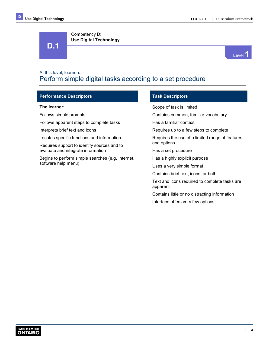**D.1** 

Competency D:

**Use Digital Technology** 



### At this level, learners: Perform simple digital tasks according to a set procedure

| <b>Performance Descriptors</b>                    | <b>Task Descriptors</b>                                   |  |  |  |  |
|---------------------------------------------------|-----------------------------------------------------------|--|--|--|--|
| The learner:                                      | Scope of task is limited                                  |  |  |  |  |
| Follows simple prompts                            | Contains common, familiar vocabulary                      |  |  |  |  |
| Follows apparent steps to complete tasks          | Has a familiar context                                    |  |  |  |  |
| Interprets brief text and icons                   | Requires up to a few steps to complete                    |  |  |  |  |
| Locates specific functions and information        | Requires the use of a limited range of features           |  |  |  |  |
| Requires support to identify sources and to       | and options                                               |  |  |  |  |
| evaluate and integrate information                | Has a set procedure                                       |  |  |  |  |
| Begins to perform simple searches (e.g. Internet, | Has a highly explicit purpose                             |  |  |  |  |
| software help menu)                               | Uses a very simple format                                 |  |  |  |  |
|                                                   | Contains brief text, icons, or both                       |  |  |  |  |
|                                                   | Text and icons required to complete tasks are<br>apparent |  |  |  |  |
|                                                   | Contains little or no distracting information             |  |  |  |  |
|                                                   | Interface offers very few options                         |  |  |  |  |
|                                                   |                                                           |  |  |  |  |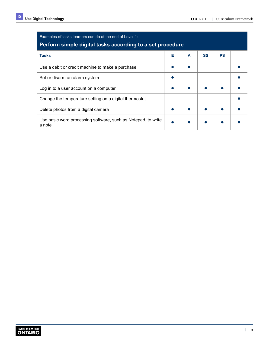| Examples of tasks learners can do at the end of Level 1:<br>Perform simple digital tasks according to a set procedure |   |   |           |           |  |
|-----------------------------------------------------------------------------------------------------------------------|---|---|-----------|-----------|--|
| <b>Tasks</b>                                                                                                          | Е | A | <b>SS</b> | <b>PS</b> |  |
| Use a debit or credit machine to make a purchase                                                                      |   |   |           |           |  |
| Set or disarm an alarm system                                                                                         |   |   |           |           |  |
| Log in to a user account on a computer                                                                                |   |   |           |           |  |
| Change the temperature setting on a digital thermostat                                                                |   |   |           |           |  |
| Delete photos from a digital camera                                                                                   |   |   |           |           |  |
| Use basic word processing software, such as Notepad, to write<br>a note                                               |   |   |           |           |  |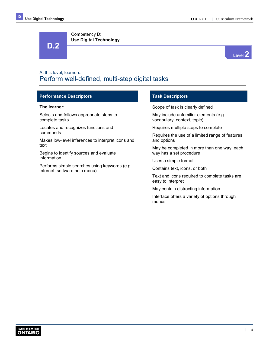**D.2** 



### At this level, learners: Perform well-defined, multi-step digital tasks

### **Performance Descriptors Task Descriptors Task Descriptors**

Selects and follows appropriate steps to complete tasks

Locates and recognizes functions and commands

Makes low-level inferences to interpret icons and text

Competency D:

**Use Digital Technology** 

Begins to identify sources and evaluate information

Performs simple searches using keywords (e.g. Internet, software help menu)

**The learner: Scope of task is clearly defined** Scope of task is clearly defined

May include unfamiliar elements (e.g. vocabulary, context, topic)

Requires multiple steps to complete

Requires the use of a limited range of features and options

May be completed in more than one way; each way has a set procedure

Uses a simple format

Contains text, icons, or both

Text and icons required to complete tasks are easy to interpret

May contain distracting information

Interface offers a variety of options through menus

 $\mathbb{L}$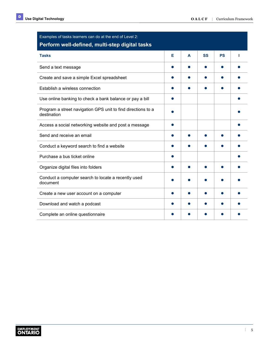| Examples of tasks learners can do at the end of Level 2:<br>Perform well-defined, multi-step digital tasks |   |   |           |           |  |
|------------------------------------------------------------------------------------------------------------|---|---|-----------|-----------|--|
| <b>Tasks</b>                                                                                               | Е | A | <b>SS</b> | <b>PS</b> |  |
| Send a text message                                                                                        |   |   |           |           |  |
| Create and save a simple Excel spreadsheet                                                                 |   |   |           |           |  |
| Establish a wireless connection                                                                            |   |   |           |           |  |
| Use online banking to check a bank balance or pay a bill                                                   |   |   |           |           |  |
| Program a street navigation GPS unit to find directions to a<br>destination                                |   |   |           |           |  |
| Access a social networking website and post a message                                                      |   |   |           |           |  |
| Send and receive an email                                                                                  |   |   |           |           |  |
| Conduct a keyword search to find a website                                                                 |   |   |           |           |  |
| Purchase a bus ticket online                                                                               |   |   |           |           |  |
| Organize digital files into folders                                                                        |   |   |           |           |  |
| Conduct a computer search to locate a recently used<br>document                                            |   |   |           |           |  |
| Create a new user account on a computer                                                                    |   |   |           |           |  |
| Download and watch a podcast                                                                               |   |   |           |           |  |
| Complete an online questionnaire                                                                           |   |   |           |           |  |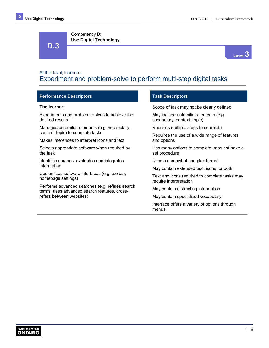Competency D: **Use Digital Technology** 



### At this level, learners: Experiment and problem-solve to perform multi-step digital tasks

### **Performance Descriptors Access 20 Access 20 Access 20 Access 20 Access 20 Access 20 Access 20 Access 20 Access**

### **The learner:**

**D.3** 

Experiments and problem- solves to achieve the desired results

Manages unfamiliar elements (e.g. vocabulary, context, topic) to complete tasks

Makes inferences to interpret icons and text

Selects appropriate software when required by the task

Identifies sources, evaluates and integrates information

Customizes software interfaces (e.g. toolbar, homepage settings)

Performs advanced searches (e.g. refines search terms, uses advanced search features, crossrefers between websites)

Scope of task may not be clearly defined

May include unfamiliar elements (e.g. vocabulary, context, topic)

Requires multiple steps to complete

Requires the use of a wide range of features and options

Has many options to complete; may not have a set procedure

Uses a somewhat complex format

May contain extended text, icons, or both

Text and icons required to complete tasks may require interpretation

May contain distracting information

May contain specialized vocabulary

Interface offers a variety of options through menus

 $\mathbb{R}$